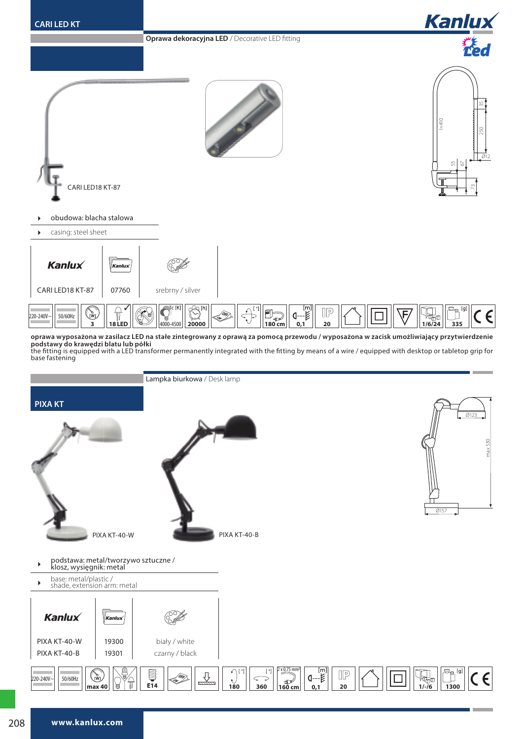

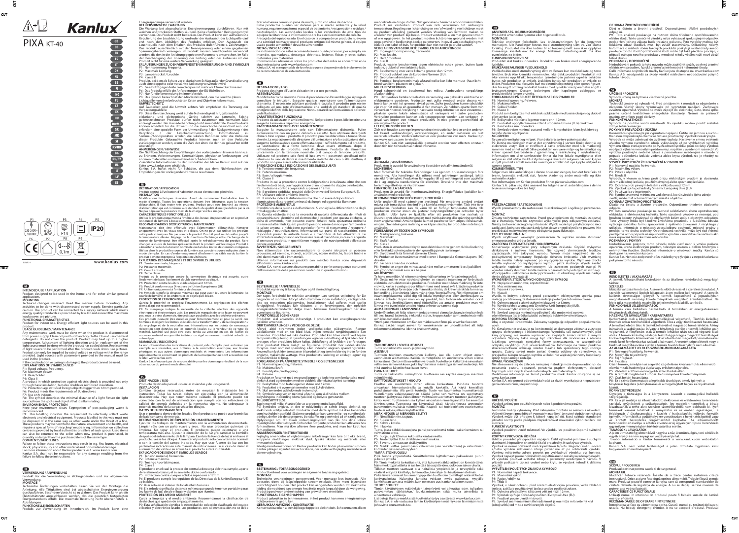Product designed to be used in the home and for other similar general

applications. **MOUNTING**

product. **USAGE GUIDELINES / MAINTENANCE** 

If the cord isolation or casing is damaged, the product cannot be used. **EXPLANATIONS OF SYMBOLS USED**

P1: Rated voltage, frequency. P2: Maximum power. P3: Base/holder.

**VERWENDUNG / ANWENDUNG**

 $\overline{\text{cut}}$ 

 $5$ 

Produkt für die Verwendung in Wohngebäuden und zur allgemeinen

Verwendung.<br>MONTAGE<br>Technische Änderungen vorbehalten. Lesen Sie vor der Montage die<br>Anleitung. Alle Tätigkeiten sind bei abgeschalteter Energieversorgung<br>durchzuführen. Besondere Vorsicht ist zu wahren. Das Produkt kann a

**FUNKTIONELLE EIGENSCHAFTEN** Produkt zur Verwendung im Innenbereich. Im Produkt kann eine

P1: Nennspannung, Frequenz. P2: Maximale Leistung. P3: Lampensockel / Leuchte.

P4: Klasse II<br>Produkt, bei dem als Schutz vor elektrischem Schlag außer der Grundisolierung<br>auch eine doppelte oder verstärkte Isolierung verwendet wird.<br>P5: Geschützt gegen feste Fremdkörper mit mehr als 12mm Durchmesser.

UMWELTSCHUTZ<br>
Auf Sauberkeit und die Umwelt achten. Wir empfehlen die Trennung der<br>
Verpackungsabfälle.<br>
New Sauberkeit und die Umwelt achten. Wir empfehlen die Trennung der<br>
Pep: Diese Kemzeichneten Produkte dirfen nicht

übersteigt.<br>ANMERKUNGEN / HINWEISE<br>Die Nichtbeachtung der Michigen der vorliegenden Hinweise kann u.a.<br>zu Bränden, Verbrennungen, Stromschlägen, physischen Verletzungen und<br>zu Bränden, Verbrennungen, Stromschlägen, physisc

**-ERB**<br>DESTINATION / APPLICATION<br>Produit destiné à l'utilisation d'habitation et aux destinations générales.<br>INSTALLATION Modifications techniques réservées. Avant de commecner l'installation lisez le<br>mode d'emploi. Toutes les opérations doivent être éffectuées avec la tension<br>débranchée. Il faut rester très prudent. Produit peut être branché

Utiliser le produit uniquement à l'intérieur des locaux. On peut utiliser en ce produit<br>les sources de lumière à basse consommation.<br>**RECOMMENDATIONS D'EXPLOITATION / MAINTENANCE** 

Maintenance doit être effectuée avec l'alimentation débranchée. Nettoyer<br>uniquement avec les tissus secs et delicats. On ne peut pas utiliser les produits<br>nettoyants chimiques. Ne pas couvrir le produit. Produit peut se ré

changer la source de lumière après avoir éteint le produit : voir les images. Produit à<br>alimenter à l'aide de la tension nominale ou dans les limites des tensions indiquées.<br>Utiliser dans le produit les sources de lumière

P1: Tension nominale, fréquence.<br>P2: Puissance maximale.<br>P3: Coulot / douille.<br>P4: 2ème classe<br>Produit où la protection contre la commotion électrique est assurée, outre<br>Pisolement de base, l'isolement double ourenforcé ap

P5: Protection contre les états solides dépassant 12mm.<br>P6: Produit conforme aux Directives de lUnion Européenne (UE).<br>P7: Utiliser uniquement à l'intérieur des locaux.<br>P8: Symbole signifie la distance minimale qui peut av

Gardez la proprété et protégez l'environnement. La segrégation des déchets<br>Gardez la proprété et protégez l'environnement. La segrégation des Apareils<br>P9: Ce marquage indique la nécessité de la collecte selective des appar

P4: Class II<br>A product in which protection against electric shock is provided not only<br>through basic insulation, but also double or reinforced insulation.<br>P5: Protection against solid foreign objects bigger than 12mm provi **DESTINACIÓN / USO**

# Producto destinado para el uso en las viviendas y de uso general.<br>Producto destinado para el uso en las viviendas y de uso general.<br>Carakia

**INSTALACIÓN**<br>Cambios técnicos reservados. Antes de empezar la instalación lea la<br>Cambios técnicos reservados. Antes de empezar la instalación desconcetada. Hay que tener máximo cuidado. El producto puede ser<br>conectado con

RECOMENDACIONES DE EXPLOTACIÓN / MANTENIMIENTO<br>Ejecutar los trabajos de mattenimiento con la alimentación desconectada.<br>Limpiar sólo con un paño suave y seco. No usar productos químicos de<br>limpiars sólo con un paño suave y

consultare le istruzioni. Eseguire qualsiasi operazione con l'alimentazione<br>disinserita. E' necessario adottare particolare cautela. Il prodotto può essere<br>collegato ad una rete d'alimentazione che soddisfi gli standard di **CARATTERISTICHE FUNZIONALI**

genere acquistati.<br>AVVERTENZE / SUGGERIMENTI<br>Non attenendosi alle raccomandazioni di queste istruzioni si possono<br>provocare, ad esempio, incendi, scottature, scosse elettriche, lesioni fisiche e<br>altridanni materialie immat Ulteriori informazioni sui prodotti con marchio Kanlux sono disponibili

**FORKLARINGER PÅ ANVENDTE SYMBOLER OG BETEGNELSER** Tuote on tarkoitettu asuin- ja yleiskäyttöön.<br>**ASENNUS**<br>Tuotteen tekninen muuttaminen kielletty. Lue alla olevat ohjeet ennen<br>asennuksen aloittamista. Kaikkia toimenpiteitä on suoritettava virran ollessa katkaistuna. On toimittava erittäin varovasti. Tuotetta on kytkettävä ainoastaan<br>sellaiseen sähköverkkoon, joka täyttää laissa määrättyjä sähköstandardeja. Älä<br>ylitä suurinta käyttötehoa: katso kuvat.<br>Tuote on tarkoitettu

### **REMARQUES / INDICATIONS**

La non observation des indications du présent ,ode d'emploi peut entraîner par<br>exemple aux incendies, aux brûlures, à la commotion électrique, aux lésions<br>physiques et aux autres dommages matériels et immateriels. Les info

le site : www.kanlux.com Kanlux S.A. n'encourt pas de responsabilité pour les dommages résultant de la non observation du présent mode d'emploi.

### $\blacksquare$

met delicate en droge stoffen. Niet gebruiken chenische schoommakmiddelen.<br>Product nie verdecken. Product kan zich verwarmen tot verhoogde<br>temperatuur. Regeling van licht richtingen en / of wisseling van lichtbron moet<br>na isolatie van kabel of buis, het product kan niet verder gebruikt worden. **VERKLARING VAN GEBRUIKTE SYMBOLEN EN AFKORTINGEN**

afvalscheiding.<br>P9: Dat symbool betekend selektive versameling van gebruikte elektrische en . P9: Dat symbool betekend selektive versameling van gebruikte elektivische en elektronische goederen. Producten met zulke symbool onder dwang van boete kan je niet tot gewone afvaal goien. Zulke producten kunne schadelijk z nieuwgekochte product. **LET OP/ BIJZONDERHEDEN**

P2: Potencia máxima. P3: Tmango / portalámparas.

흷

P4: Clase Ī

El producto en el cual la protección contra la descarga eléctrica cumple, aparte<br>del aislamento básico, el aislamiento doble o reforzado.<br>P5: Protección contra cuerpos sólidos superiores a 12mm.<br>P6: El producto cumple los

aplicables.<br>P7: Usarsólo en el interior de locales/habitaciones.<br>P8: El símbolo significa la distancia mínima que puede tener un portalámparas<br>(su fuente de luz) desde el lugar y objetos que ilumina.<br>PROTECCIÓN DEL MEDIO A

Cuida la limpieza y el medio ambiente. Recomendamos la clasificación de<br>deshechos que quedan de empaquetamiento.<br>P9: Esta señalización significa la necesidad de colección clasificada del equipo<br>eléctrico y electrónico usad

tirar a la basura común so pena de multa, junto con otros deshechos.<br>Estos productos pueden ser dañinos para el medio ambiente y la salud<br>humana, requieren una forma especial de tratamiento / recuperación / recidaje /<br>neut

P1: Märkspänning, frekvens. P2: Maxeffekt. P3: Skaft / sockel. P<sub>4</sub>: Klass II

aliektiv.<br>P7: Får bara användas inomhus.

La inobservación de estas recomendaciones puede provocar, por ejemplo, un incendio, quemaduras, descargas eléctricas, lesiones físicas y otros daños materiales y no materiales.

Informaciones adicionales sobre los productos de Kanlux se encuentran en la<br>siguiente página web: www.kanlux.com<br>Kanlux S.A. no es responsable de los efectos que se desprenden de la inobservación<br>de recomendaciones de esta

**DESTINAZIONE / USO<br>Prodotto destinato all'uso in abitazioni e per uso generale.<br><b>ASSEMBLAGGIO**<br>Modifiche tecniche riservate. Prima di procedere con l'assemblaggio si prega di

P8: Merkki viittaa pienimpään valaisimen (sen valonlähteen) ja valaistavien<br>kohteiden väliseen etäisyyteen.<br>YMPÄRISTÖNSUOJELU Pidä huolta ympäristöstä. Suosittelemme lajittelemaan pakkauksen purun jälkeisiä jätteitä P9: Tämä merkintä tarkoittaa sitä, että kuluneet sähkölaitteet on kierrätettävä.

Näin merkittyjä laitteita ei saa heittää talousjätteiden joukkoon sakon uhalla.<br>Tällaiset tuotteet saattavat olla haitallisia ympäristölle ja terveydelle sekä<br>vaativat erityistä käsittely-, talteenotto-, kierrätys- tai häv

Prodotto da utilizzare in ambienti interni. Nel prodotto è possibile inserire una sorgente luminosa a risparmio energetico. **RACCOMANDAZIONI D'USO E MANUTENZIONE** 

Eseguire la manutenzione solo con l'alimentazione disinserita. Pulire esclusivamente con un panno delicato e acciutto. Non utilizzare detergenti<br>elevidici. Non copire il prodotto. Il prodotto può riscaldarsi fino a tempera

**SPIEGAZIONE DELLE INDICAZIONI E DEI SIMBOLI USATI**

P1: Tensione nominale, frequenza. P2: Potenza massima. P3: Base / alloggiamento.

P4: Classe II<br>Prodotto in cui la protezione contro la folgorazione è realizzata, oltre che con<br>l'isolamento di base, con l'applicazione di un isolamento doppio o rinforzato.<br>P5: Protezione contro i corpi solidi superiori a

P7: Utilizzare solo in ambienti interni.<br>P8: Il simbolo indica la distanza minima che può avere il dispositivo di<br>illuminazione (la sorgente luminosa) da luoghi ed oggetti da illuminare.<br>PRenditi cura della pulizia e dell'

imballaggi da smaltire.<br>P9: Questa etichetta indica la necessità di raccolta differenziata dei rifiuti di P9: Questa etichetta indica la necessità di raccolta differenziata dei rifutti di presenchiature elettriche ed elettroniche. I prodotti con questa etichetta, a pena di ammenda, non possono essere. Smalitti nella spazzatur

Ta vare på renslighet og miljøet. Vi anbefaler å sortere pakningsavfall.<br>P9: Denne markeringen viser at det er nødvendig å sortere brukt elektrisk og<br>elektronisk utstyr. Det er straffbart å kaste produkter med slik markeri selgere av slikt utstyr. Brukt utstyr kan også leveres til selgeren når man kjøper et nytt produkt i antall som ikke overstiger antallet det nye kjøpte utstyret av

samme typen.<br>**KOMMENTARER / TIPS**<br>Følger man ikke anbefalinger i denne bruksanvisningen, kan det føre f.eks. til<br>brann, brannsår, elektrisk støt, fysiske skader og andre materielle og ikke<br>materielle skader.

all'indirizzo: www.kanlux.com Kanlux S.A. non si assume alcuna responsabilità per le conseguenze scaturenti dall'inosservanza delle prescrizioni contenute in queste istruzioni.

**CES**<br>PESTEMMELSE / ANVENDELSE<br>Produktet egner sig til brug i boliger og til almindeligt brug.<br>MONTAGE<br>Ober tages forbehold for tekniske ændringer. Læs venligst vejledning før De<br>begynder at montere. Afbryd altid strømmen begynder at mortiere, moryd attid strømmen inden installation, vedligehold-<br>else og reparation påbegyndes. Installationen skal udføres med særlig<br>forsigtighed. Produktet kan tilsluttes til et forsyningsnet, der opfylder<br>en

overstiges: se figurerne. **FUNKTIONELLE EGENSKABER**

Produktet skal anvendes indvendigt. I produktet kan energibesparende<br>lyskilder-anvendes.<br>**DRIFTSANBEFALINGER / VEDLIGEHOLDELSE** 

Afbryd altid strømmen inden vedligeholdelse påbegyndes. Rengør andenkelse de store and en ter blød klud. Ingen kemiske rengøringsmidle kan anvendes. Produktet må ikke dækkes. Produktet kan blive varmt ved højere temperatur

P1: Nominel spænding, frekvens. P2: Maksimal kraft. P3: Bundstykke / indbygning. P4: II klasse

Produktet er forsynet med en grundlæggende isolering som beskyttelse mod<br>elektrisk stød og desuden med en dobbelt eller ekstra styrket isolering.<br>P5: Beskyttelse mod faste legemer større end 12mm.<br>P6: Produktet er i overen

MILJØBESKYTTELSE<br>Tag hensyn til miljø, Vi anbefaler at segregere emballageaffald.<br>Tag hensyn til miljø, Vi anbefaler at segregere emballageaffald.<br>Pel: Symbolet angiver, at det er nødvendigt at samle brugt elektrisk odgele

**ANMÆRKNINGER / INSTRUKTIONER** Fejlagtig anvendelse af vejledningens anbefalinger kan føre til f. eks. brand, kroppens skoldninger, elektrisk stød, fysiske skader og materiele eller

immateriele skader. Yderligere informationer om Kanlux produkter kan findes på www.kanlux.com Kanlux påtager sig intet ansvar for skade, der opstå ved fejlagtig anvendelse af denne vejledning.

# **BESTEMMING / TOEPASSINGSGEBIED**

 $\frac{1}{2}$ 

Product bestemt voor woningen en algemene toepassingsgebied. **MONTAGE**

### **CHU RENDELTETÉS / ALKALMAZÁS**

د.<br>ásokban és az általános rendeltetésű megvilágí-

Technische veranderingen gereserveerd. Voor montage lees instructie. Alle operaties doen bij losgekoppelde stroominstalatie. Men moet bijzondere vorzichtigheid houden. Het product kan aangesloten worden tot elektrische leiding die vooldoet aan energie kwaliteits regels bepaald door de wetgeving. Product goed voor ondersteuning van grawitatieve wentilatie.

Froduct goed voor ondersteuning van grawitatieve wentilatie.<br>**FUNCTIONAAL EIGENSCHAPPEN**<br>Product gebruiken in binnenruimen. In het product kan men energiezuinige Product gebruiken in binnenruimen. In het product kan men energiezuinige<br>lichtbronnen te gebruiken.<br>**GEBRUIKSAANWIZING / KONSERWATIE**<br>Konserwatiewerken alleen bij losgekoppelde elektriciteit. Schoonmaken alleen táshoz.<br>SzERELÉS<br>Mozzaki változás fenntartva. A szerelés előtt olvassa el a szerelési útmutatót. A viszerelés valamennyi lépését kikapcsolt áram mellett kell végeznil A szerelés<br>Szerelés valamennyi lépését kikapcsolt áram burkolat meghibásodása esetén a termék további használatra nem alkalmas. **AZ ALKALMAZOTT JELEK ÉS SZIMBÓLUMOK MAGYARÁZATA**

P1: Ingangsstroomspanning, frequentie. P2: Max. kracht. P3: Heft / montuur.

P4: Klas II<br>Product, waarin bescherming tegen elektrische schok geven, buiten basis<br>isolatie, dubbel of versterkte isollatie.<br>P5: Bescherming voor vaste lichame grooter dan 12mm.<br>P6: Product voldoet aan de Europaise Normen

bron) van licht plaatsen en ojekten. **MILIEUBESCHERMING** 

wu**utevoe SCHERWING**<br>Houd schoonheid en beschermd het milieu. Aanbevolene verpakkings<br>schoolsteidings

**@W)**<br>SCOPUL / FOLOSIREA<br>Produsul destinat pentru casele si de uz general.<br>MONTAJUL<br>Modificări tehnice rezervate. Înainte de a trece pentru instalarea citește<br>instrucțiună. Orice acțiune face după oprirea alimentării. Treb mare. Produsul poate fi conectat la reţea, care să corespundă standardelor de calitate definite de legislaţia de energie. A nu se depăşi sarcina maximă de

putere: a se vedea ilustratii.<br>CARACTERSTICE FUNCTIONALE<br>Utilizați numai în interiorul. In produsul poate fi folosita sursele de lumină<br>energy- eficientă.<br>RECOMANDARILE DE OPERARE / INTRETINERE

P6 P7 P8 P9 E14

P1 P2 P3 P4 P5

*i* Kanlux **GB**

# PIXA KT-40

**CUT** 

**INTENDED USE / APPLICATION** 

220-240V~ max

Zich niet houden aan regelingen van deze instructie kan leiden onder anderen tot brand, verbrandingen, overspanningen, en ander materiele en niet materiele schaden. Verdere informaties over producten van merk Kanlux zijn op: www.kanlux.com te vinden. Kanlux S.A. kan niet aansprakelijk gemaakt worden voor effecten ontstaan door zich niet te houden aan deze instructie.

**ÄNDAMÅL / ANVÄNDNING**<br>ÄNDAMÅL / ANVÄNDNING<br>Produkten är avsedd för användning i bostäder och allmänna ändamål.<br>MONTERING

Med förbehåll för tekniska förändringar. Läs igenom bruksanvisningen före montering. Alla handlingar ska utföras med spänningen avstängd. lakta särskild försiktighet. Produkten får kopplas till ett matningsnät som uppfylle

REKOMMENDATIONER FÖR DRIFT / UNDERHÅLL<br>Ufför underhåll med spänningen avstängd. Tör rengöring använd endast<br>Ufför underhåll med spänningen avstängd. Tör rengöringsmedel. Täck inte över<br>produkten. Produkten kan bli varm til

Produkten är utrustad med skydd mot elektriska stötar genom dubbel isolering<br>eller förstärkt isolering utöver den grundläggande isoleringen.<br>P5: Skydd mot fasta föremål större än 12mm.<br>P6: Produkten överensstämmer med krav

P7: Får bara användas inomhus.<br>P8: Symbolen anger det minsta avståndet mellan armaturen (dess ljuskällor)<br>MILJÖSKYDD<br>MILJÖSKYDD<br>Ta hand om miljön. Vi rekommenderar källsortering av förpackningsavfall.

P9: Detta märke visar nödvändigheten av separat insamling av förbrukade elektriska och elektroniska produkter. Produkter med sådan märkning får integral skatta vid vite, katsa i vanliga sopor tillsammans med annat avfall.

användas. **FÖRKLARING AV TECKEN OCH SYMBOLER**

Ytterligare information om Kanlux märkesvaror finns på: www.kanlux.com Kanlux S.A.bär inget ansvar för konsekvenser av underlåtenhet att följa rekommendationerna i denna bruksanvisning.

KÄYTTÖSUOSITUKSET / HUOLTO<br>Huoltoa on suoritettava virran ollessa katkaistuna. Puhdista tuotetta<br>ainoastaan hienontunteisilla ja kuivilla kankailla. Älä käytä kemiallisia<br>puhdistusaineita. Älä peitä tuotetta. Tuote voi kuu

katso kuvat. Tuotteeseen saa kytkeä ainoastaan nimellisjänitettä tai annettua<br>jännitealuetta. Tuotteessa on käytettävä tässä käyttöohjeessa annettujen<br>parametrien mukaisia valonlähteitä. Kaapeli- tai koteloeristeen vaurioi

P4: II luokka<br>Tuote, jossa sähköiskusuojana paitsi peruseristettä toimii kaksinkertainen tai<br>vahvistettu eriste.<br>P5: Suojaus yli 12mm:n kokoiselta kiintoaineelta.<br>P6: Tuote täyttää EU:n direktiivien vaatimuksia.<br>P7: Sovelt

**TARKOITUKSET / SOVELLUTUKSET**

P2: Suurin teho. P3: Kahva / kotelo.

**TIEDOT / OHJEET**

Tämän käyttöohjeen määräyksien laiminlyönti voi aiheuttaa esim. tulipalon, palovamman, sähköiskun, loukkaantumisen sekä muita aineellisia ja

aineettomia vahinkoja. Lisätietoja Kanlux-merkkisistä tuotteista löytyy osoitteesta www.kanlux.com Kanlux S.A. ei ole vastuussa tämän käyttöohjeen määräyksien laiminlyönnistä johtuvista seuraamuksista.

 $\frac{1}{2}$ 

**ANVENDELSES- OG BRUKSOMRÅDER**  Produkt til anvendelse hjemme eller til generell bruk.

MONTASJE<br>Tekniske endringer forbeholdt. Les bruksanvisningen før du begynner<br>Tekniske endringer foretas med strømforsyning slått av. Vær ekstra<br>forsiktig. Produktet må ikke kobles til et forsyningsnett som ikke oppfyller<br>l

missonsbesinnvelse<br>oduktet skal brukes innendørs. Produktet kan brukes med energisparende lyskilder.<br>BRUKSANBEFALINGER / VEDLIKEHOLD

**ÉRUKSANBEFALINGER / VEDLIKEHOLD<br>Veilikeholdes med strømforsyning slått av. Renses kun med delikate og tørre<br>Vedlikeholdes med strømforsyning slått av. Renses kun med delikate varmes opp til økt temperatur. Lysterhingen ju** 

P1: Nominal spenning, frekvens. P2: Maksimal effekt.

P3: Sokkel/holder. P4: Klasse II Produkt som beskyttes mot elektrisk sjokk både med basisisolasjon og dobbel

eller styrket isolasjon.<br>P5: Beskyttelse mot faste legemer større enn 12mm.<br>P6: Produktet oppfyller kravene i Den Europeiske Unions (EUs) direktiver.<br>P7: Kan brukes kun innendørs.<br>P8: Symbolet viser minimal avstand mellom

Mer informasjon om Kanlux produkter finnes på www.kanlux.com Kanlux S.A. påtar seg ikke ansvaret for følgene av at anbefalingene i denne bruksanvisningen ikke ble fulgt.

nia.<br>™ONTAŻ

Dbaj o czystość i środowisko. Zalecamy segregację odpadów poopakowanio-

wych.<br>P9: Oznakowanie wskazuje na konieczność selektywnego zbierania zużytego<br>sprzetu elektrycznego i elektronicznego. Wyrobow tak oznakowanych, pod<br>karą grzywny, nie można wyrzucać do zwykłych śmieci razem z innymi<br>odpada

Nie stosowanie się do zaleceń niniejszej instrukcji może doprowadzić np. do<br>powstania pożaru, poparzeń, porażenia prądem elektrycznym, obrażeń<br>fizycznych oraz innych szkód materialnych iniematerialnych.<br>Dodatkowe informacj

**UWAGI / WSKAZÓWKI**

**CZ**<br>URČENÍ / POUŽITÍ

**PRZEZNACZENIE / ZASTOSOWANIE**<br>PRZEZNACZENIE / ZASTOSOWANIE<br>Wyrób przeznaczony do zastosowań mieszkaniowych i ogólnego przeznacze-

MONTAŽ<br>Zmiany techniczne zastrzeżone. Przed przystąpieniem do montażu zapoznaj<br>się z instrukcją. Wszelkie czynności wykonywać przy odłączonym zasilaniu.<br>Należy zachować szczególną ostrozność. Wyrób może być przyłączony do

ZALECENIA EKSPLOATACYJNE / KONSERWACJA<br>KOnserwacje wykonywać przy odłączonym zasilaniu. Czyścić wyłącznie<br>Konserwacje wykonywać przy odłączonym zasilaniu. Czyścić wyłącznie<br>Czlyszczących. Nie zakrywać wyrobu. Wyrób może na

P1: Napięcie znamionowe, częstotliwość.<br>P2: Napięcie znamionowe, częstotliwość.<br>P3: Trzonek / oprawka.<br>P4: Klasa II<br>Wyrób, w którym ochronę przed porażeniem elektrycznym spełnia, poza<br>izolacją podstawową, zastosowana izola

www.kanlux.com Kanlux S.A. nie ponosi odpowiedzialności za skutki wynikające z nieprzestrze-gania zaleceń niniejszej instrukcji.

**URČENÍ / POUŽITÍ** Výrobek určený pro použití v bytech nebo k podobnému použití. **MONTÁŽ**

Technické změny vyhrazeny. Před zahájením montáže se seznam s návodem.<br>Veškeré činnosti provádět při vypnutém napájení. Je nutné dodržet ostražitost.<br>Výrobek může být připojen k takové napájení. Je k terá splňuje standardn

ilustrace.<br>**FUNKČNÍ VLASTNOSTI**<br>Výrobek používat uvnitř místností. Ve výrobku lze používat úsporné světelné<br>zdroje.

POKÝNY K PROVOZU/ ÚDRŽBA<br>Udržbu provádět při vypoutém apajení. Čistit výhradně jemnými a suchými<br>Udržbu provádět při vypoutém klasinické čistící prostředky. Nezakrývat výrobek.<br>Výrobek se nesmí přehřávat nad dopuštěnou tep

## použití. **VYSVĚTLENÍ POUŽITÝCH ZNAKŮ A SYMBOLŮ** P1: Nominální napětí, frekvence. P2: Maximální výkon. P3: Patice / objímka.

P4: Třída II<br>Výrobek, v němž ochranu před úrazem elektrickým proudem, vedle základní<br>Izolace, zajišťuje použitá dvojí izolace anebo posílená izolace.<br>P5: Ochrana před stálými částicemi většími nežli 12mm.<br>P6: Výrobek splňu

odpadků.<br> mezi Tobrzanie poukazuje na nutnost sběru tříděného opotřebovaného elektro zboží. Takto označené výrobky nele<br/> $\sigma$ ev vhazovat spolu s jinými odpadky, nelektro zboží lidskému zdravi škodlivé, musí být zvlášť

**POZNÁMKY / DOPORUČENÍ<br>Nedodržování pokynů tohoto návodu může zapříčinit požár, opaření, zranění elektrickým proudem, fyzická zranění a jiné hmotné i nehmotné škody.<br>Další informace o výrobcích značky Kanlux jsou dostupné** 

**URČENIE / POUŽITIE<br>URČENIE / POUŽITIE<br>Výrobok určený na bytové a všeobecné použitie<br>MONTÁŽ** 

Technické zmeny sú vyhradené. Pred pristípenim k montáží sa oboznámte s nivodom. Všetky úkony vykonávajte pri<br>nívodom. Všetky úkony vykonávajte pri vypnutom napájaní. Zachovajte<br>zvláštnu opatrnosť. Výrobok sa môže zapojiť

maximini yhvori: pozri usiazky.<br>**FUNKČNÉ VLASTNOSTI**<br>Výrobok na použitie vnútri miestností. Vo výrobku možno použiť svetelné

Výrobky na použite vnútri miestností. Vo výrobku možno použiť svetelné<br>zdroje šetriace energiu.<br>**POKYNY K PREVÁDZKE / ÚDRŽEB (V SVEDA)**<br>KONZTY K PREVÁDZKE / ÚDRŽEB (K POKYNY K PREVÁD K KONZEVÁCIU vykonávajte pri vypnutom n

ďlašie používanie. **VYSVETLÍVKY POUŽITÝCH OZNAČENÍ A SYMBOLOV**

P1: Menovité napätie, frekvencia. P2: Maximálny výkon. P3: Pätica / objímka.

P4: Trieda II<br>Vyrobok, v ktorom ochrana proti úrazu elektrickým prúdom je dosianutá,<br>okrem základnej izolácie, pouzitím dvojitej alebo spevnenej izolácie.<br>P5: Ochrana proti pevným telesám s veľkosťou nad 12mm.<br>P6: Výrobok

svetla) môže mať od osvetlovaných miest a objektov.<br>**OCHRANA ŽIVOTNÉHO PROSTREDIA**<br>Dbajte na čistotu a životné prostredie. Odporúčame triedenie obalového

odpádu.<br>Poje Toto označenie poukazuje na nutnosť selektívneho zberu opotrebovanej elektírckej a elektronickej techniky. Takto označené výrobky splanom hrozbou pokuty, vyhadzovat do obyčajných kosov spolu s ostatným odpadom

Nedodržiavanie pokynov tohto návodu môže viesť napr. k vzniku požiaru, opareniu, úrazu elektrickým prúdom, telesným nehmotným a<br>opareniu, úrazu elektrickým prúdom, telesným úrazom a dalším hmotným a<br>nehmotným škodám. Dodat

P1: Névleges feszültség, frekvencia. P2: Maximális teljesítmény.

P3: Fej / foglalat.<br>P4: Il osztály<br>Olyan termék, amelyben az alapvető szigetelésen kívül áramütés elleni védő<br>elemként található még a dupla vagy erősített szigetelés.<br>P5: Védelem a 12mm-nél nagyobb szilárd testek ellen.<br>P

P8: Ez a szimbólum mutatja a legkisebb távolságot, amely igényelt a fényforrás foglalata (a fényforrásai) és a megvilágított helyek és objektumok

között.<br>**KÖRNYEZETVÉDELEM**<br>Ügyeljen a tisztaságra és a környezetre. Javasolt a csomagolási hulladék<br>szegregációja.

P9: Ez a jel mutatja az elhasználódott elektromos és elektronikus berendezés szelektív gyűjtésének a szükségességét. Így megjelölt termékek a bírság kiszabásának a terhe alatt szokásos szeméttárolóba nem dobhatók ki. Ilye

Kanlux S.A. nem vállal felelősséget a jelen útmutató figyelmen kívül hagyásának az eredményeiért.

 $rac{1}{2}$ 

Întreţinerea se face cu alimentarea oprita. Curată numai cu ţesături delicate şi uscate. Nu folosiţi detergenţi chimice. A nu se acoperă produsul. Produsul

 $\vert$ 5

FOLD

**IP20**

0,1m

P4

2013/02-1 **www.kanlux.com**

Technical changes reserved. Read the manual before mounting. Any<br>activities to be done with disconnected power supply. Exercise particular<br>caution. The product can be connected to a supply network which meets<br>energy qualit load power: see pictures.<br>**FUNCTIONAL CHARACTERISTICS**<br>Product for indoor use. Energy efficient light sources can be used in this

Any maintenance work must be done when the product is disconnected<br>from power supply. Clean only with soft and dy cloths. Do not use chemical<br>detergents. Do not cover the product. Product may heat up to a higher<br>temperatur

recommended.<br>The simulation in the requirement to selectively collect waste<br>electronic and electrical equipormet. Products labelled in this way must not<br>be disposed of in the same way as other waste under the thereat of a

**DE FR ES IT DK NL SE FI NO PL CZ SK HU RO/MD GR MK SI RS/HR BG RU/BY UA LT LV EE**

Energiesparlampe verwendet werden.<br>BETRIEBSHIMWEISE / WARTINNG<br>Die Wartung bei abgeschalteter Einergieversorgung durchführen. Nur mit<br>Die Wartung bei abgeschalteter Einern. Keine chemischen Reinigungsmittel<br>verwenden. Das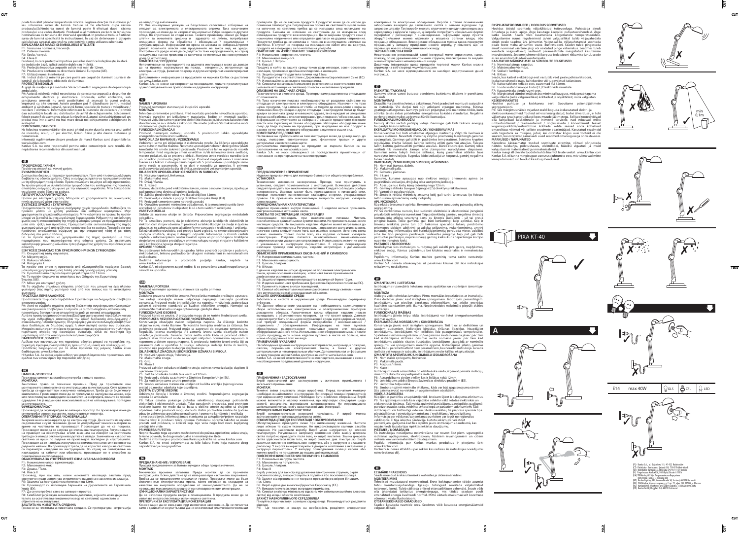poate fi incălzit până la temperaturile ridicate. Reglarea direcției de iluminare și /

sau inlocuirea sursei de lumină trebuie să fie efectuate după răcirea<br>produsului.Schimbarea sursei de lumină poate fi efectuat după răcirea<br>produsului:a se vedea ilustratii. Produsul sa alimenteaza exclusiv cu tensiunea<br>no cablului sau carcasai, aparatul nu este potrivit pentru utilizarea ulterioară. **EXPLICAREA DE MARCII SI SIMBOLURILE UTILIZATE**

**PROTECŢIE MEDIULUI** PROTECȚIE MEDIULUI<br>Ai grijă de curățenia și a mediului. Vă recomandăm segregarea de deșeuri după

ambalajele.<br>P9: Această etichetă indică necesitatea de colectarea separată a deșeurilor de<br>chipamente electrice și electronice. Produsele, astell etichetate, sub<br>sancțiunea amenzii, nu aveți posibilitatea să aruncați la gu prosit poate îi de asemenea piasat la vanzatorul, atunci canu achiziționează un<br>produs nou într-o sumă nu mai mare decât noi echipamente achizitionate în

P1: Tensiunea nominală, frecvenţă. P2: Puterea maximă. P3: Soclu / corpul.

P4: Clasa II<br>Produsul, în care protecția împotriva șocurilor electrice îndeplinește, în afară<br>de izolația de bază, aplică izolatie duble sau întărită.<br>P5: Protecția împotriva corpurile solide mai mari de 12mm.<br>P6: Protecți

### acelaşi fel. **COMENTARII / SUGESTII**

Ne folosirea recomandărilor din acest ghidul poate duce la crearea unui astfel de incendiu, arsuri, un şoc electric, leziuni fizice şi alte daune materiale şi nemateriale.

Informații suplimentare despre produse de marcă Kanlux sunt disponibile la:<br>www.kanlux.com.<br>Kanlux S.A. nu este responsabil pentru orice consecințele care rezultă din<br>nepăstrarea recomandărilor dîn acest manual.

# **ΠΡΟΟΡΙΣΜΟΣ / ΧΡΗΣΗ**

Προϊόν για σπιτική και γενική χρήση. **ΣΥΝΑΡΜΟΛΟΓΗΣΗ**

Διατηρείται δικαίωμα τεχνικών τροποποιήσεων. Πριν από τη συναρμολόγηση<br>διαβάστε τις οδηγίες χρήσης. Όλες οι ενέργειες πρέπει να πραγματοποιούνται<br>με τη σβησμέμνη τροφοδοσία. Πρέπει να λάβετε τα μέτρα ειδικής προστασίας.<br>Τ

Προϊόν για εσωτερική χρήση. Μπορείτε να χρησιμοποιείτε τις οικονομικές

πηγές φωτισμού μέσα στο προϊόν. **ΣΥΣΤΑΣΕΙΣ ΧΡΗΣΗΣ / ΣΥΝΤΗΡΗΣΗ**

Πραγματοποιείτε τις ενέργειες συτήρησης χωρίς τροφόδοια. Καθαρών προϊκόν μόπου της χρήση μαλακών και καθαρών υφασμάτων. Μην<br>προϊκόν μόπου με χρήση μαλακών και καθαρών υφασμάτων. Μην<br>μπορεί να ζεσταθεί έως τη μεγαλύτερη θε

- Производ, при кој што, освен основната изолација заштита пред<br>електриченудар исполнуваиприменета надвојна изасиленаизолација.<br>P5: Заштитаодпостојанителапоголемиод12мм. P6: Производот ги исполнува барањата на Директивите на Европската
- 

Унија (ЕУ).<br>P7: Да се употребува само во затворен простор.<br>P8: Симболот ја укажува минималната далечина, која што може да ја има<br>телото за осветлување (нејзиниот извор на светлина) од местото и

**ΕΞΗΓΗΣΕΙΣ ΣΗΜΑΣΙΑΣ ΤΩΝ ΧΡΗΣΙΜΟΠΟΙΗΜΕΝΩΝ ΣΥΜΒΟΛΩΒΝ**

објектите на осветлување. **ЗАШТИТА НА ЖИВОТНАТА СРЕДИНА**  т<br>средина. Се препорачува сегрегација

на отпадот од ммбалажата.<br>Р9: Ова означување укажува на безусловно селективно собирање на<br>отпадот од електричната и електронската опрема. Така означените<br>производи, не може да се изфрлаат во нормално ѓубре заедно со други

P1: Ονομαστική τάση, συχνότητα. P2: Μέγιστη ισχύς. P3: Κάλυκα / πλαίσιο.

Ρ4: Κατηγορία ΙΙ<br>Το προϊόν στο οποίο η προστασία από ηλεκτροπληξία παρέχεται βασική<br>μόνωση και χρησιμοποιημένη διπλή μόνωση ή ενισχυμέμνη μόνωση.<br>P5: Το προϊόν πληρώνει τις απαιτήσεις των Οδηγιών της Ευρωπαϊκής<br>Ένωσης (UE

Непочитување на препораките на дадената инструкција може да доведе до на пример. настанување на пожар, изгореници, изгореници од електрична струја, физички повреди и други материјални и нематеријални штети. ителни информации за продуктите на марката Kanlux се достапни

P7: Μόνο για εσωτερική χρήση. P8: Το σύμβολο σημαίονει ελάχιστη απόσταση που μπορεί να έχει πλαίσιο φωτισμού (της πηγής φωτισμού του) από του τόπους και τα αντικείμενα

### φωτισμού. **ΠΡΟΣΤΑΣΙΑ ΠΕΡΙΒΑΛΛΟΝΤΟΣ**

Προστατεύετε το φυσικό περιβάλλον. Προτείνουμε να διαχωρίζετε απόβλητα<br>αποσυσκευασίας.<br>199: Αυτό το σύμβολο σημαίνει ανάγκη διαλεκτικής συγκέντρωσης ηλεκτρικών<br>και ηλεκτρονικών αποβλήτων. Το προϊόν με αυτό το σύμβολο, υπό

ανακύκλωσης / εξουδετέρωσης, Πληροφορίες για κέντα συλλογής αποβλήτων<br>είναι διαθέσιμες σε δημόσιες αρχές ή στον πωλητή αυτών των συσκευών.<br>Μπορείτε ακόμη να επιστρέφετε τις μεταχειρισμένες συσκευές στον πωλητή σε<br>περίπτωσ

Αμέλεια των κανονισμών της παρούσας οδηγίας μπορεί να προκαλέσει πχ.<br>πυρκαγιά, έγκαυμα, ηλεκτροπληξία, τραυματισμό, υλικές και αύκλες ζημιές.<br>Πρόσθετες πληροφορίες για τα άλλα προϊόντα της μάρκας Kanlux είναι<br>διαθέσιμα σε

## **НАМЕНА /УПОТРЕБА**

пимети 77110 гг.<br>Производ наменет за станбена употреба и општа намена<br>МОНТАЖА

МОНТАЖА<br>Заштитено право за технични промени. Пред да пристапите кон<br>преба да се одвиваат при изклучено напојување. Треба да се биде многу<br>внимателен. Производот може да се приклучи до напојувачка мрежа, која<br>внимателен. П

poškodovanja izolacije kabla ali ohišja, proizvod ni več namenjen uporabi.<br>**OBJASNITEV UPORABLJENIH OZNAČITEV IN SIMBOLOV**<br>P1: Nazivna napetost, frekvenca. P2: Maksimalna moč. P3: Držaj / flanša.

P4: 2. razred<br>
Pomeni, da zaščito pred električnim šokom, razen osnovne izolacije, izpolnjuje<br>
tudi uporabljena dvojna ali utrjena izolacija.<br>
P5: Zaščita pred trdimi telesi o velikosti večji kot 12mm.<br>
P6: Proizvod je v s

odpadkov. P9: Ta označitev pomeni, da je selektivno zbiranje izrabljenih električnih in elektroničnih strojev obvezna. Ti proizvodi so lahko škodljivi za okolje in ljudsko<br>zdravje, za to zahtevajo specialistične forme varovanja / recikliranja / uničenja.<br>Tak označenih proizvodov, pod pretnjo kazni z globo, ne

večji kot količina novega stroja istega tipa.<br>OPOMBE / POMOČ OPOMBE / POMOČ<br>Neupoštevanje teh navodilih za uprabo, lahko povzroči ogroženje s požarom,<br>elektrošokom, telesno poškodbo ter drugimi materialnimi in nematerialnimi<br>poškodbami.

### ја илустрацијата. **ФУНКЦИОНАЛНОСТ**

Производот да се употребува во затворен простор. Во производот може да<br>се употребат извори на светло, коишто штедат енергија.<br>**ОПЕРАТИВНИ ПРЕПОРАКИ / КОНЗЕРВАЦИЈА** 

За време на конзервацијата да се изклучи од струја. Да се чисти изклучиво<br>со деликатни и суви ткаенини. Да не се употребуваат хемиски материи за<br>Производот може да се затрева до зголемена температура. Регулирањето<br>Произво дадените напони. Во производот треба да се користат извори на светлина<br>со параметри наведени во инструкциите. Во случај на оштетување на<br>изолацијата на кабелот или обвивката, производот не е способен за Konzervaciju obavljajte nakon isključenja napona. Za čišćenje koristite isključivo suve, meke tkanine. Ne koristite hemijska sredstva za čišćenje. Ne pokrvivaje proizvod Proizvod može se zagrevati do povećane temperature.<br> naponom u datom opsegu napona. U proizvodu koristite izvori svetla čiji su parametri dati u uputstvu. U slučaju oštećenja izolacije kabla ili kućišta,

понатамошна експлоатација. **ОБЈАСНУВАЊА ЗА УПОТРЕБЕНИТЕ ОЗНАЧУВАЊА И СИМБОЛИ** 

P1: Номинален напор, фреквенција. P2: Максимална моќ. P3: Дршка / Тело. P4: Класа II

- 
- 

 $\overline{CUT}$ 

P7: Za korišćenje samo unutra prostorije.<br>P8: Simbol označava minimalnu udaljenost kućišta svetiljke (njenog izvora<br>zvetla) od mesta i objekata koje osvetljava.<br>ZAŠTITA ŽIVOTNE SREDINE<br>Održavajte čistoću i brinite o životn otpada od ambalaže.<br>P9: Takva oznaka pokazuje potrebu selektivnog skupljanja potrošenih<br>električnih i elektronskih uređaja. Tako označenih proizvoda, pod pretnjom<br>novčane kazne, ne može da se baca u obično smeće zajedno sa lokalna vlast ili prodavci takve opreme. Potrošenu opremu također se može predati kod prodavca, u količini koja nije veća nego kod novo kupljenog

Nepridržavanje toga uputstva može dovesti do požara, opekotine, udara struje,<br>telesne povrede, te druge materijalne i nematerijalne štete.<br>Dodatne informacije o proizvodima Kanlux potražite na: www.kanlux.com<br>Kanlux S.A. n nepridržavanja ovog uputstva.

### **BG ПРЕДНАЗНАЧЕНИЕ / ИЗПОЛЗВАНЕ**

.<br>Ти промени запазени. Преди монтаж да се проч инструкцията. Всяко действие да се извършва при изключено захранване.<br>Трябва да се предприееме специални грижи. Продуктът може да бъде<br>включен към електрическата мрежа, която отговаря на стандарти за качество на енергията определени от законодателството. Да не се превишава максималната мощност на натоварване: виж илюстрации. **ФУНКЦИОНАЛНИ ХАРАКТЕРИСТИКИ**

### **КОМЕНТАРИ / ПРЕДЛОЗИ**

на: www.kanlux.com Kanlux S.A. не сноси одговорност за последиците, коишто произлегуваат од непочитувањето на препораките на дадената инструкција.

# **NAMEN / UPORABA** Proizvod namenjen stanovanjski in splošni uporabi. **MONTAŽA**

Tehnične spremembe pridržane. Pred montažo preberite navodila za uporabo.<br>Montažo naredite pri izključenem napajanju. Bodite pri montaži pazljivi.<br>Proizvod vključite samo v pravilno električno instalacijo, ki ustreza kakov

obremenitve: glejte ilustracije.<br>**FUNKCIONALNI ZNAČAJI**<br>Proizvod namenjen notranji uporabi. S proizvodom lahko uporabljate

energetsko varčnimi izviri svetlobe.<br>NAVODILA ZA RAVNAN IF / VZDRŽEVAN IF

NAVODILA ZA RAVNADIE / VZDRŽEVANJE<br>Vzdrževati samo pri izključenju iz elektronske mreže. Za čiščenje uporabljajte<br>samo suhe in mehke tkanine. Ne smete uporabljati nobenih detergentov (zlasti<br>kemičnih). Ne smete zakrivati p

Dodatne informacije o proizvodih podjetja Kanlux, najdete na

www.kanlux.com Kanlux S.A. ni odgovoren za poškodbe, ki so povzročene zaradi neupoštevanja navodil za uporabo.

# **(S<u>TR</u>)<br>NAMENA/UPOTREBA<br>Proizvod namenjen opremanju stanova i za opštu primenu.<br>MONTAŽA**

**ЗАУВАЖЕННЯ / ВКАЗІВКИ** Недотримання рекомендацій даної інструкції може спричинити, напр., пожежу, опіки, ураження електричним струмом, тілесні травми та завдати іншої матеріальної і нематеріальної шкоди.<br>Додаткову інформацію щодо продуктів торгової марки Kanlux можна<br>отримати на веб-сторінці: www.kanlux.com<br>Kanlux S.A. не несе відповідальності за наслідки недотримання даної

Zadržano pravo na tehničke izmene. Pre početka montaže pročitajte uputstvo.<br>Sve radnje obavljajte nakon isključenja napajanja. Sačuvajte posebnu<br>opreznost. Proizvod može biti priključen na napojnu mrežu koja zadovoljava<br>za

## proizvod nije pogodan za daljnju eksploataciju. **OBJAŠNJENJA ZNAČENJA ISKORIŠĆENIH OZNAKA I SIMBOLA**

P1: Nazivni napon struje, frekvencija. P2: Maksimalna snaga.

P3: Grlo. P4: Klasa II Proizvod zaštićen od udara električne struje, osim osnovne izolacije, duplom ili

ojačanom izolacijom. P5: Zaštita od ulaska čvrstih tela većih od 12mm. P6: Proizvod u skladu sa zahtevima Direktiva Evropske Unije (EU).

uređaja iste vrste. **PRIMEDBE/UPUTSTVA**

Продукт предназначен за битови нужди и общо предназначение. **МОНТАЖ**

Да се използва продукта вътре в помещенията. В продукта може да се използва енергоспестяващи източници на светлина. **ПРЕПОРЪКИ ЗА ЕКСПЛОАТАЦИЯ/КОНСЕРВАЦИЯ** 

препарати. Да не се закрива продукта. Продуктът може да се нагрее до повишена температура. Регулиране на посока на светлината и/или смяна<br>на източник на светлина трябва да се извършва след охлаждане на<br>продукта. Смяната на източник на светлината да се извършва след<br>охлажда номинално напрежение или определен диапазон на дадени напрежения.<br>Продуктът трябва да се използва с посочен в инструкцията източник на<br>светлина. В случай на повреда на изолационен кабел или на корпуса, продукта не е подходящ за по-нататъшна употреба. **ОБЯСНЕНИЕ НА ИЗПОЛЗВАНИТЕ ЗНАЦИ И СИМВОЛИ** 

електричне та електронне обладнання. Вироби з таким позначенням.<br>заборонено викидати до звичайного сміття з іншими відходами під<br>аагрозою штрафу. Такі вироби можуть спричинити шкоду навколишньому<br>середовищу і здоров'ю люд

P1: Номинално напрежение, честота. P2: Максимална мощност. P3: Цокъл / Патрон. P4: Класа II

**RU/BY** 

EKSPLUATATSIOONILISED / HOOLDUS SOOVITUSED<br>Hooldus töösid sooritala väljalüliitatud toitevooluga. Puhastada ainuleholdus töösid sooritada väljalüliitatud toitevooluga. Paradex võib kunneneda kõrgematele temperatuuridele.<br>V

P1: Nominaal pinge, sagedus.<br>P2: Maksimaalne võimsus.<br>P4: II Klass<br>Seade, kus kaitset elektrilöögi eest vastutab veel, peale põhiisolatsiooni,

lisakaitsevahendid nagu kahekordne või tugevdatud isolatsioon.<br>PS: Kaitse tahkete kehade eest, suuremad kui 12mm.<br>P6: Toode vastab Euroopa Liidu (EL) Direktiivide nõuetele.<br>P7: Kasutamiseks ainult ruumi sees.<br>P8: Märgistat

Kanlux S.A. не носи отговорност за последствията произтичащи от неспазване на препоръките на тази инструкция.

**ПРЕДНАЗНАЧЕНИЕ / ПРИМЕНЕНИЕ** Изделие предназначено для жилищно-бытового и общего употребления.

УСТАНОВКА" изменения засекречены. Прежде, чем приступить к<br>Технические изменения засекречены. Прежде, чем приступить к<br>установке, следует познакомиться с инструкцией. Всяческие действия<br>осторожность. Изделие может быть пр

Изделие применяется внутри помещений. В изделии нельзя применять<br>энегроэкономные источники света.<br>**СОВЕТЫ ПО ЭКСПЛУАТАЦИИ / КОНСЕРВАЦИЯ** 

Консервацию проводить при выключенном питании. Чистить<br>исключительно-деликатными исуими-тканями. Не применять химических<br>чистящих средств. Не закрывать изделие. Изделие может нагреваться до<br>повышенной температуры. Регулир

иллюстрацию. **ФУНКЦИОНАЛЬНАЯ ХАРАКТЕРИСТИКА**

с указанными в инструкции параметрами. В случае повреждения изоляции провода или корпуса, изделие непригодно к дальнейшей эксплуатации. **ОБЪЯСНЕНИЯ ПРИМЕНЯЕМЫХ ОБОЗНАЧЕНИЙ И СИМВОЛОВ**

В данном изделии защитную функцию от поражения электрическим<br>током, кроме основной изоляции, исполняет также примененная<br>двойная или усиленная изоляция.<br>P5: Защита от проникновения предметов величиной более 12мм. P6: Изделие выполняет требования Директива Европейского Союза (ЕС). P7: Применять только внутри помещений. P8: Символ обозначает минимальное расстояние между светильником (его источником света) и освещаемым объектом. **ЗАЩИТА ОКРУЖАЮЩЕЙ СРЕДЫ** элщити опглимищеи скедон<br>Заботьтесь о чистоте и окружающей среде. Рекомендуем сортировку<br>отбросов. отбросов.<br>Р9: Данное обозначение указывает на необходимость селекционного<br>сбора использованных электрических и электронических приборов<br>домашнего обихода. Размеченные таким образом изделия нельзя<br>выкидывать с обыкновенным

они требуют специальной формы переработки / восстановления /<br>рециклинга / обезвреживания. Информацию на тему пунктов<br>сбора/приема распространяют локальные власти или продавцы<br>оборудования данного типа. Использованное обор

Несоблюдение данной инструкции может привести, например, к пожарам,<br>ожогам, поражением - электрическим - током, а - также - к - другим<br>материальным и нематериальным убыткам. Дополнительная информация<br>на тему товаров марки

Консервация да се извършва при изключено захранване. Да се почиства само с деликатни и сухи тъкани. Да не се използват химически почистващи т пирислинштвото се гедовищи<br>геся про чистоту і зовнішнє середовище. Рекомендується розділяти відходи. P9: Це позначення вказує на необхідність розділяти використане

P1: Напряжение номинальное, частота. P2: Максимальная мощность.

P3: Цоколь / патрон. P4: II Класс

**ПРИМЕЧАНИЯ /УКАЗАНИЯ**

**ПРИЗНАЧЕННЯ / ЗАСТОСУВАННЯ**

Виріб призначений для застосування у житлових приміщеннях і загального призначення.

**МОНТАЖ**<br>Технічні зміни вимагають згоди виробника. Перед початком монтажу<br>необхідно ознайомитися з інструкцією. Всі операції повинні проводитися<br>при відімкненому живленні. Необхідно бути особливо обережним. Виріб<br>можна вк

Обслуговування проводити лише при вимкненому живленні. Чистити сливише м'якою та сухою тканиною. Не використовувати хімічних засобів чищення. Не накривати виробу. Виріб може нагріватися до високої температури. Регулювання

діапазону. У виробі використовуються джерела освітлення з вказаними у<br>інструкції параметрами. У випадку пошкодження ізоляції кабеля або<br>кожуху виріб є не придатним до подальшої експлуатації.<br>ПОЯСНЕННЯ ВИКОРИСТАНИХ

РЗ: Цоколь / патрон.<br>Р4: Клас II<br>Виріб, у якому для захисту від ураження електричним струмом, окрім<br>основної ізоляції, використовується подвійна або посилена ізоляція.<br>Р5: Захист від проникнення твердих предметів розміром

**РЕКОМЕНДАЦІЇ ЩОДО ЕКСПЛУАТАЦІЇ / ОБСЛУГОВУВАННЯ** 

P1: Номінальна напруга, частота. P2: Максимальна потужність.

P6: Виріб відповідає вимогам Директив Євросоюзу (ЄС).

P7: Використовується лише всередині приміщень. P8: Символ визначає мінімальну відстань між світильником (його джерела

світла) від місць і об'єктів освітлення. **ЗАХИСТ НАВКОЛИШНЬОГО СЕРЕДОВИЩА**

с несет ответетвенности за последеть<br>ием предписаний данной инструкции.

**PASKIRTIS / TAIKYMAS** Gaminys skirtas varoti butuose bendriems buitiniams tikslams ir poreikiams tenkinti.

Draudžiama daryti techninius pakeitimus. Prieš pradedant montuoti susipažink<br>su instrukcija. Visi darbai turi būti atliekami atjungus maitinimą. Būtinas<br>ypatingas atsargumas. Gaminys gali būti prijungtas prie maiti

Konservavimas turi būti atliekamas atjungus maitinimą. Valyti tik švelniais ir sausais audiniais. Nevartoti cheminių valymo priemonių. Neuždengti gaminio apdangalais. Gaminys gali įšliti iki padidintos temperatūros. Švieti

P4: Il klasė<br>Gaminys, kuriame apsaugos nuo elektros smūgio priemonės apima be<br>pagrindinės izoliacijos, dvigubą arba sustiprintą izoliaciją.<br>P5: Apsauga nuo kietų kūnų didesnių negu 12mm.<br>P6: Gaminys attinka Europos Sąjungo

sanınıs) nuo apsvieciamų vietų ir objektų.<br><mark>APLINKOSAUGA</mark><br>Rūninkitės švarumu ir anlinka. Rekomenduojame sunaudotu nakuočiu atlieki

Rūpinkies švarumu ir aplinka. Rekomenduojame sunaudotų pakuočių atliekų<br>Segregavimą. Svarumu ir aplinka. Rekomenduojame sunaudotų pakuočių atliekų<br>P9: Šis ženklinimas nurodo, kad sudevėti elektriniai ir elektroniniai įreng

**MONTAVIMAS**

**FUNKCIONALUMO BRUOŽAI**

taupantys šviesos šaltiniai. **EKSPLOATAVIMO REKOMENDACIJOS / KONSERVAVIMAS** 

toliau naudoti. **VARTOJAMŲ ŽENKLINIMŲ IR SIMBOLIŲ AIŠKINIMAS**

ieiskia minimaių atstumą r<br>ipšviečiamų vietų ir objektų

nanonia provazni<br>inį skirtas vartoti patalpų viduje. Gaminyje gali būti taikomi energiją

інструкц

P1: Nominali įtampa, dažnis. P2: Maksimali galia. P3: Galvutė / patronas.

**PASTABOS / NURODYMAI**

Nesilaikymas šios instrukcijos nurodymų gali sukelti pvz. gaisrą, nuplykimus, elektros smūgį, fizinius pažeidimus bei kitokias materialias ir nematerialias žalas. Papildomų informacijų Kanlux markės gaminių tema rasite svetainėje: www.kanlux.com Kanlux S.A. neneša atsakomybės už pasekmes kilusias dėl šios instrukcijos

reikalavimų nesilaikymo.

**IZMANTOJUMS / LIETOŠANA** Izstrādājums ir paredzēts lietošanai mājas apstākļos un vispārējam izmantoju-

Aizliegts veikt tehniskas izmaiņas. Pirms montāžas iepazīstieties ar instrukciju.<br>Visas darbības jāveic esot izslēgtam spriegumam. Jābūt īpaši piesardzīgam.<br>Izstrādājumu var pieslēgt barošanas elektrotiklam, kas atbi

ilustrācijas.<br>**FUNKCIONĀLĀS ĪPAŠĪBAS**<br>Izstrādājums jālieto telpu iekšā. Izstrādājumā var lietot energoekonomiskos<br>gaismas avotus.

**EKSPLUATĀCIJAS NORĀDĪJUMI / KONSERVĀCIJA**<br>KONSEVAČIJA javeic esot izslēgitam spriegumam. Tirīt tikai ar delikātiem un sausiem audumiem. Nelletojiet ķīmiskus tirīšanas līdzekļus. Neapklājiet izstrādājumu. Izstrādājums var

mam. **MONTĀŽA**

Продукт, в който за защита срещу токов удар отговаря, освен основната<br>изолация, приложена двойна или подсилена изолация.<br>PS: Защита срещу твърди тела големи над 12мм.<br>P6: Продуктът е в съответствие с Директивите на Европе

Р9: Това означение показав необходимостта от разделно собиране на свои отлиции от електрическо и електронно оборудване. Назначени по този начин продукти, под заплаха от глоба не можете да изхвърляте в кофа за обикновен бо

P2: Maksimālā jauda. P3: Korpuss / rāmis. P4: Klase II

**ED**<br>FESMÄRK (RAKENDUS

 $\mathbf{w}$ 

valdības vai šī tipa iekārtas pārdevēja. Lietotu iekārtu var arī atdot pārdevējam, gadījumā kad tiek iepirkts jauns izstrādājums daudzumā, kas

www.kanlux.com Kanlux S.A. nenes atbildību par sekām kas radīsies šīs instrukcijas norādījumu neievērošanas dēļ.

m**uninerkimine**<br>Tehnilised muudatused reserveeritud. Enne kokkupanemise tööde asumist

tutvu kasutamisejuhendiga. Igasugu tehinguid sooritada väljalülitatud<br>toitevoolu korral.Tuleb säilitada erilised ettevaatlikkuse vahendid.Seade võib<br>olla ühendatut toitlustus energiavõrguga, mis täidab seaduse poolt<br>ettenä

**EESMÄRK / RAKENDUS** Seade mõeldud ärakasutamiseks korterites ja üldeesmärkideks. **MONTEERIMINE** 

Seaded kasutada ruumide sees. Seadmes võib kasutada energiatsäästvaid valguse allikaid.

**KESKONNAKAITSE**  Hoolitse puhtuse ja keskkonna eest. Soovitame pakendijäätmete

segregatsiooni.<br>P9: See märgistus näitab vajadust eraldi koguda ärakasutatud elektri- ja<br>elektroonikaseadmeid. Tooteid sel viisil märgistatud, trahvi ähvardusel, ei toivad<br>väljavisata tavalisse prügikasti koos muude jäätme

MÄRKUSED / NÄPUNÄTTED<br>Käesoleva käsirammtus toodud soovituste eiramine, võivad põhjustada<br>näiteks tulekahju, põletushaavu, elektrilööki, füüsilisi vigastusi ja muid<br>kahjustusi nii materiaalseid ja immateriaalseid.<br>Kanlux m



**A**

Izstrādājums kādā aizsardzību no elektrošoka veido, izņemot pamata izolāciju,<br>izmantota dubulta vai pastiprināta izolācija.<br>P5: Aizsardzība no cietām vielām kas ir lielākas nekā 12mm.

P6: Izstrādājums atbilst Eiropas Savienības direktīvu prasībām (ES).<br>P7: Lietot tikai telpu iekšā.<br>P8: Simbols nozīmē minimālo attālumu, kāds var būt apgaismojuma rāmim<br>(tās gaisma avota) no vietām un apgaismotiem objektie

P9: Tas apzīmējums rāda ka ir vajadzība selektīvi vākt lietotas elektriskās un<br>elektroniskās iekārtas. Tajā veidā apzīmēti izstrādājumus, neizpildes gadījumā<br>paredzot naudas sodu, nedrīkst izmest kopā ar parastiem atkritum

inepārsniedz tā paša tipa iepirktas iekārtas daudzumu.<br>PIEZĪMES / NORĀDĪJUMI<br>Šīs instrukcijas norādījumu neievērošana var novest līdz piem. ugunsgrēka<br>radīšanai, apdegumiem, elektrošokam, fiziskiem ievainojumiem un citiem<br>













E14 max 40W  $\sqrt{2}$ GLS  $\sqrt{2}$ CFL  $\sqrt{2}$  LED







(PL) Kanlux S.A., ul. Objazdowa 1-3, 41-922 Radzionków

- (CZ) Distributor: Kanlux s.r.o., Sadová 618, 738 01 Frýdek-Místek (SK) Distributor: Kanlux s.r.o., Štefánika 379/19, 911 01 Trenčín
- (H) Forgalmazza: Kanlux Kft., 9026 Győr, Bácsai út 153/b
- (UA) TOB Kanlux, 08130, с. Петропавлівська Борщагівка вул. Леніна 1Б оф. 313 Київська обл.
- (RO) Kanlux Lighting SRL, Intrarea Binelui 1A, Sector 4, 042159 Bucuresti (RU) OOO Kanlux, Угрешская улица, д. 2 стр. 72, офис 205, 115088, г. Москва (BG) Kanlux EOOD, Warehouse area Gopet Logistics, 1532 Kazichene, Sofia
- 
- (DE) Kanlux GmbH, Flugplatz 7-9, 44319 Dortmund